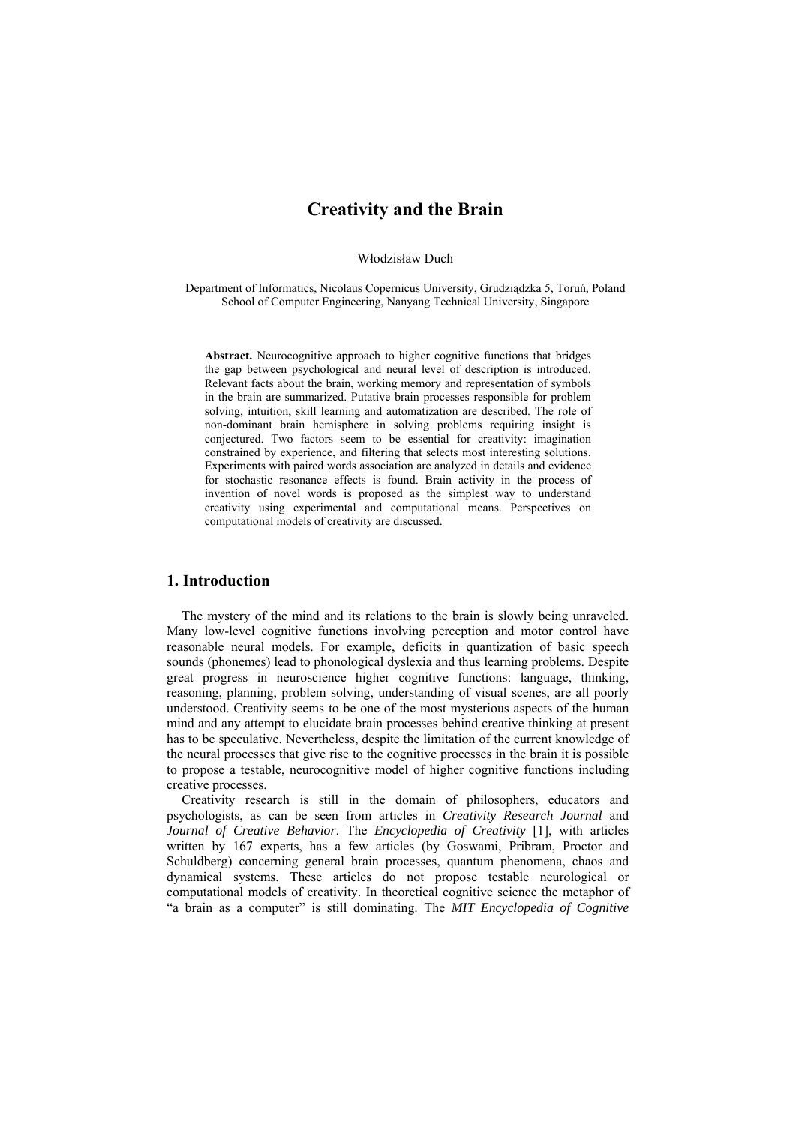# **Creativity and the Brain**

Włodzisław Duch

Department of Informatics, Nicolaus Copernicus University, Grudziądzka 5, Toruń, Poland School of Computer Engineering, Nanyang Technical University, Singapore

**Abstract.** Neurocognitive approach to higher cognitive functions that bridges the gap between psychological and neural level of description is introduced. Relevant facts about the brain, working memory and representation of symbols in the brain are summarized. Putative brain processes responsible for problem solving, intuition, skill learning and automatization are described. The role of non-dominant brain hemisphere in solving problems requiring insight is conjectured. Two factors seem to be essential for creativity: imagination constrained by experience, and filtering that selects most interesting solutions. Experiments with paired words association are analyzed in details and evidence for stochastic resonance effects is found. Brain activity in the process of invention of novel words is proposed as the simplest way to understand creativity using experimental and computational means. Perspectives on computational models of creativity are discussed.

### **1. Introduction**

The mystery of the mind and its relations to the brain is slowly being unraveled. Many low-level cognitive functions involving perception and motor control have reasonable neural models. For example, deficits in quantization of basic speech sounds (phonemes) lead to phonological dyslexia and thus learning problems. Despite great progress in neuroscience higher cognitive functions: language, thinking, reasoning, planning, problem solving, understanding of visual scenes, are all poorly understood. Creativity seems to be one of the most mysterious aspects of the human mind and any attempt to elucidate brain processes behind creative thinking at present has to be speculative. Nevertheless, despite the limitation of the current knowledge of the neural processes that give rise to the cognitive processes in the brain it is possible to propose a testable, neurocognitive model of higher cognitive functions including creative processes.

Creativity research is still in the domain of philosophers, educators and psychologists, as can be seen from articles in *Creativity Research Journal* and *Journal of Creative Behavior*. The *Encyclopedia of Creativity* [1], with articles written by 167 experts, has a few articles (by Goswami, Pribram, Proctor and Schuldberg) concerning general brain processes, quantum phenomena, chaos and dynamical systems. These articles do not propose testable neurological or computational models of creativity. In theoretical cognitive science the metaphor of "a brain as a computer" is still dominating. The *MIT Encyclopedia of Cognitive*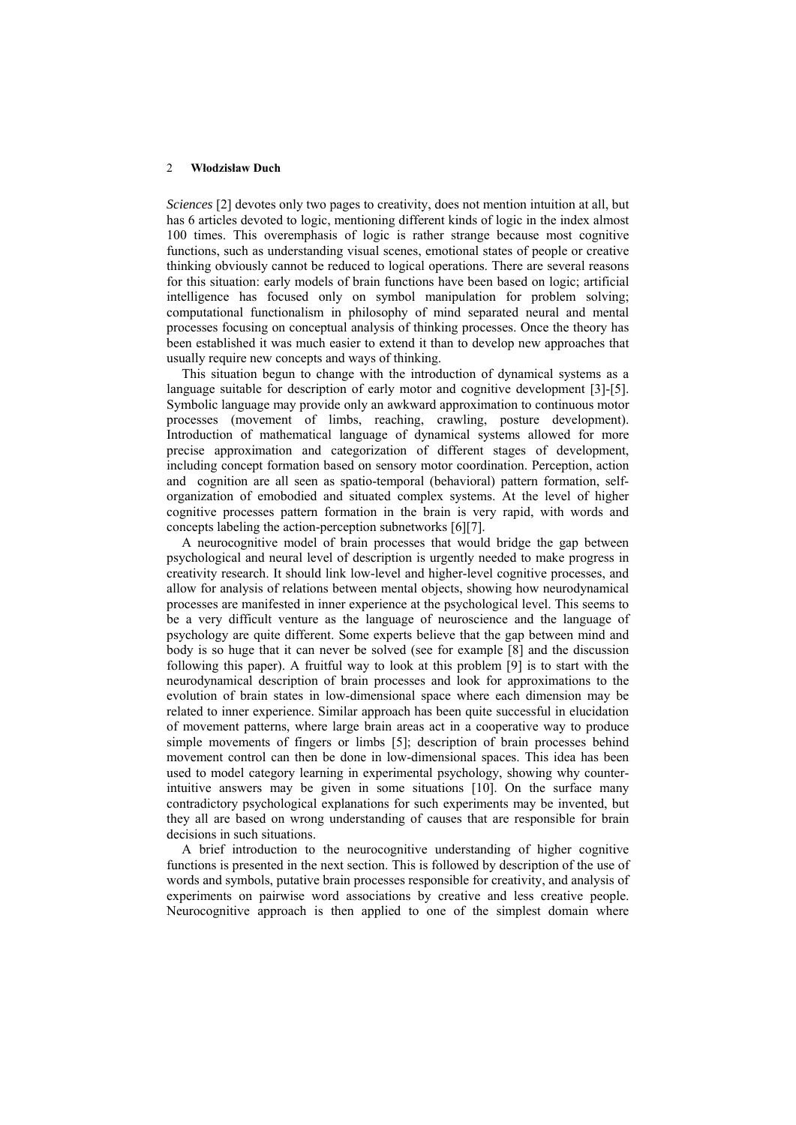*Sciences* [2] devotes only two pages to creativity, does not mention intuition at all, but has 6 articles devoted to logic, mentioning different kinds of logic in the index almost 100 times. This overemphasis of logic is rather strange because most cognitive functions, such as understanding visual scenes, emotional states of people or creative thinking obviously cannot be reduced to logical operations. There are several reasons for this situation: early models of brain functions have been based on logic; artificial intelligence has focused only on symbol manipulation for problem solving; computational functionalism in philosophy of mind separated neural and mental processes focusing on conceptual analysis of thinking processes. Once the theory has been established it was much easier to extend it than to develop new approaches that usually require new concepts and ways of thinking.

This situation begun to change with the introduction of dynamical systems as a language suitable for description of early motor and cognitive development [3]-[5]. Symbolic language may provide only an awkward approximation to continuous motor processes (movement of limbs, reaching, crawling, posture development). Introduction of mathematical language of dynamical systems allowed for more precise approximation and categorization of different stages of development, including concept formation based on sensory motor coordination. Perception, action and cognition are all seen as spatio-temporal (behavioral) pattern formation, selforganization of emobodied and situated complex systems. At the level of higher cognitive processes pattern formation in the brain is very rapid, with words and concepts labeling the action-perception subnetworks [6][7].

A neurocognitive model of brain processes that would bridge the gap between psychological and neural level of description is urgently needed to make progress in creativity research. It should link low-level and higher-level cognitive processes, and allow for analysis of relations between mental objects, showing how neurodynamical processes are manifested in inner experience at the psychological level. This seems to be a very difficult venture as the language of neuroscience and the language of psychology are quite different. Some experts believe that the gap between mind and body is so huge that it can never be solved (see for example [8] and the discussion following this paper). A fruitful way to look at this problem [9] is to start with the neurodynamical description of brain processes and look for approximations to the evolution of brain states in low-dimensional space where each dimension may be related to inner experience. Similar approach has been quite successful in elucidation of movement patterns, where large brain areas act in a cooperative way to produce simple movements of fingers or limbs [5]; description of brain processes behind movement control can then be done in low-dimensional spaces. This idea has been used to model category learning in experimental psychology, showing why counterintuitive answers may be given in some situations [10]. On the surface many contradictory psychological explanations for such experiments may be invented, but they all are based on wrong understanding of causes that are responsible for brain decisions in such situations.

A brief introduction to the neurocognitive understanding of higher cognitive functions is presented in the next section. This is followed by description of the use of words and symbols, putative brain processes responsible for creativity, and analysis of experiments on pairwise word associations by creative and less creative people. Neurocognitive approach is then applied to one of the simplest domain where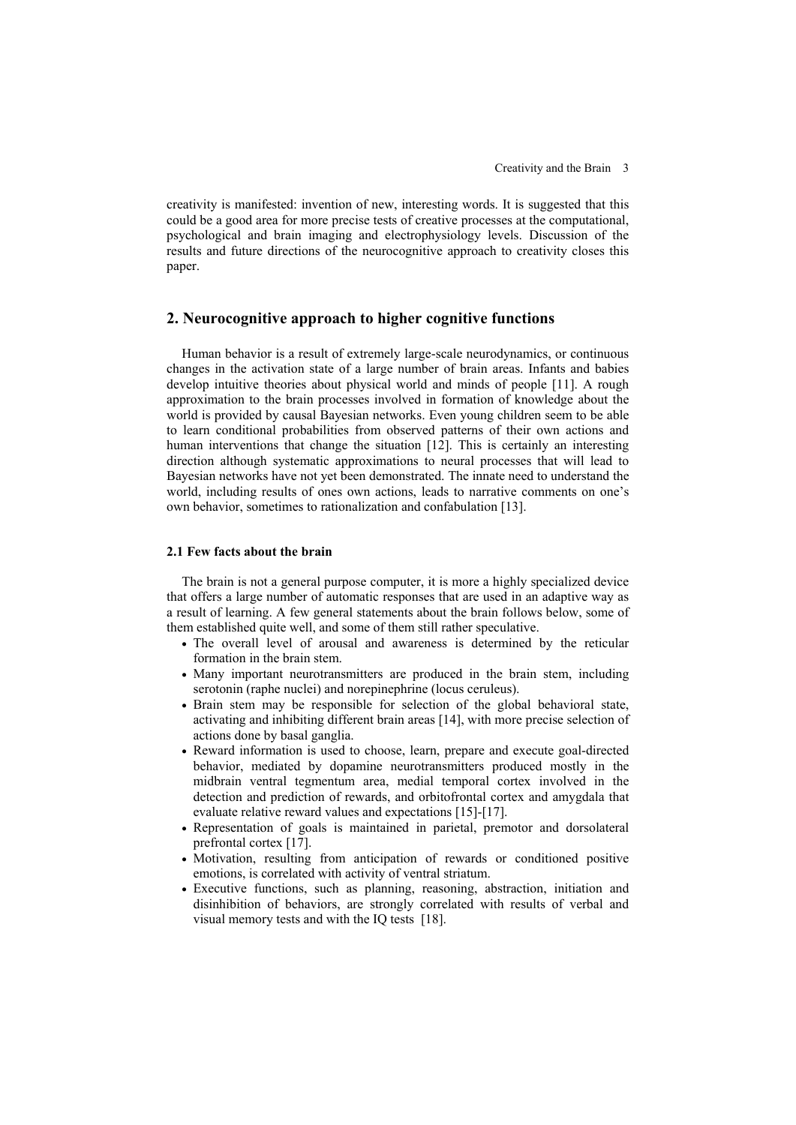creativity is manifested: invention of new, interesting words. It is suggested that this could be a good area for more precise tests of creative processes at the computational, psychological and brain imaging and electrophysiology levels. Discussion of the results and future directions of the neurocognitive approach to creativity closes this paper.

## **2. Neurocognitive approach to higher cognitive functions**

Human behavior is a result of extremely large-scale neurodynamics, or continuous changes in the activation state of a large number of brain areas. Infants and babies develop intuitive theories about physical world and minds of people [11]. A rough approximation to the brain processes involved in formation of knowledge about the world is provided by causal Bayesian networks. Even young children seem to be able to learn conditional probabilities from observed patterns of their own actions and human interventions that change the situation [12]. This is certainly an interesting direction although systematic approximations to neural processes that will lead to Bayesian networks have not yet been demonstrated. The innate need to understand the world, including results of ones own actions, leads to narrative comments on one's own behavior, sometimes to rationalization and confabulation [13].

### **2.1 Few facts about the brain**

The brain is not a general purpose computer, it is more a highly specialized device that offers a large number of automatic responses that are used in an adaptive way as a result of learning. A few general statements about the brain follows below, some of them established quite well, and some of them still rather speculative.

- The overall level of arousal and awareness is determined by the reticular formation in the brain stem.
- Many important neurotransmitters are produced in the brain stem, including serotonin (raphe nuclei) and norepinephrine (locus ceruleus).
- Brain stem may be responsible for selection of the global behavioral state, activating and inhibiting different brain areas [14], with more precise selection of actions done by basal ganglia.
- Reward information is used to choose, learn, prepare and execute goal-directed behavior, mediated by dopamine neurotransmitters produced mostly in the midbrain ventral tegmentum area, medial temporal cortex involved in the detection and prediction of rewards, and orbitofrontal cortex and amygdala that evaluate relative reward values and expectations [15]-[17].
- Representation of goals is maintained in parietal, premotor and dorsolateral prefrontal cortex [17].
- Motivation, resulting from anticipation of rewards or conditioned positive emotions, is correlated with activity of ventral striatum.
- Executive functions, such as planning, reasoning, abstraction, initiation and disinhibition of behaviors, are strongly correlated with results of verbal and visual memory tests and with the IQ tests [18].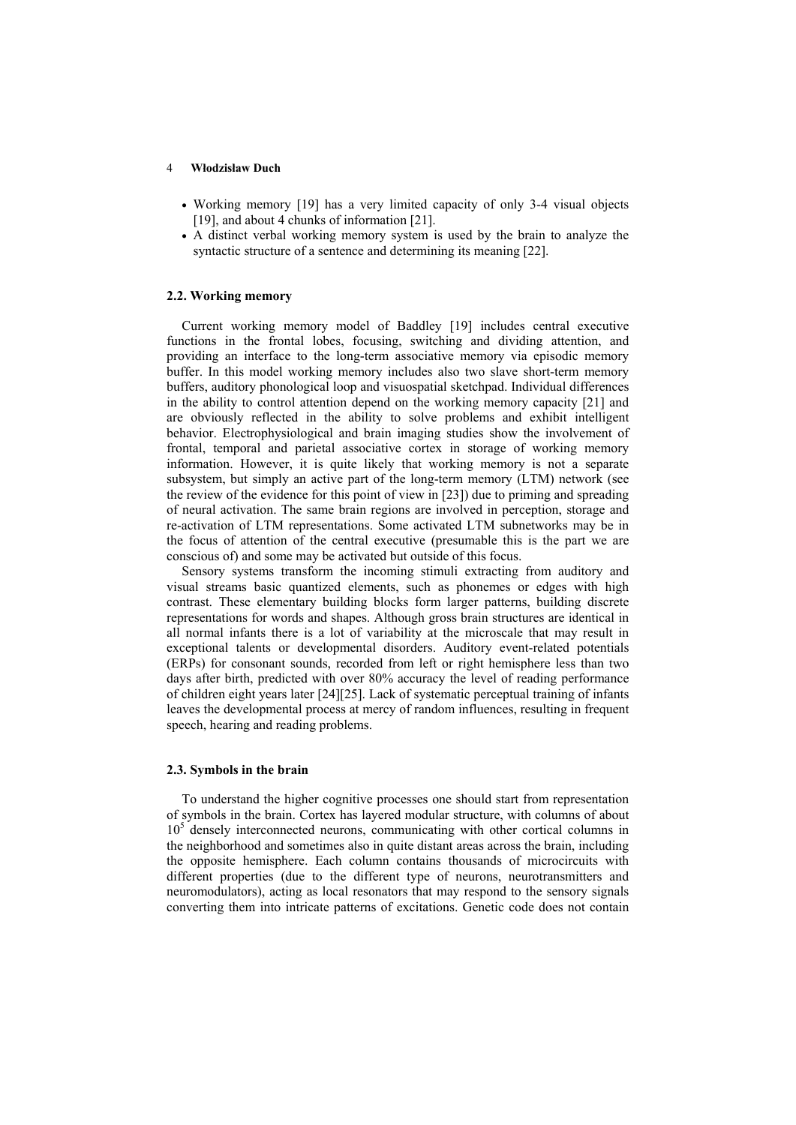- Working memory [19] has a very limited capacity of only 3-4 visual objects [19], and about 4 chunks of information [21].
- A distinct verbal working memory system is used by the brain to analyze the syntactic structure of a sentence and determining its meaning [22].

#### **2.2. Working memory**

Current working memory model of Baddley [19] includes central executive functions in the frontal lobes, focusing, switching and dividing attention, and providing an interface to the long-term associative memory via episodic memory buffer. In this model working memory includes also two slave short-term memory buffers, auditory phonological loop and visuospatial sketchpad. Individual differences in the ability to control attention depend on the working memory capacity [21] and are obviously reflected in the ability to solve problems and exhibit intelligent behavior. Electrophysiological and brain imaging studies show the involvement of frontal, temporal and parietal associative cortex in storage of working memory information. However, it is quite likely that working memory is not a separate subsystem, but simply an active part of the long-term memory (LTM) network (see the review of the evidence for this point of view in [23]) due to priming and spreading of neural activation. The same brain regions are involved in perception, storage and re-activation of LTM representations. Some activated LTM subnetworks may be in the focus of attention of the central executive (presumable this is the part we are conscious of) and some may be activated but outside of this focus.

Sensory systems transform the incoming stimuli extracting from auditory and visual streams basic quantized elements, such as phonemes or edges with high contrast. These elementary building blocks form larger patterns, building discrete representations for words and shapes. Although gross brain structures are identical in all normal infants there is a lot of variability at the microscale that may result in exceptional talents or developmental disorders. Auditory event-related potentials (ERPs) for consonant sounds, recorded from left or right hemisphere less than two days after birth, predicted with over 80% accuracy the level of reading performance of children eight years later [24][25]. Lack of systematic perceptual training of infants leaves the developmental process at mercy of random influences, resulting in frequent speech, hearing and reading problems.

## **2.3. Symbols in the brain**

To understand the higher cognitive processes one should start from representation of symbols in the brain. Cortex has layered modular structure, with columns of about 10<sup>5</sup> densely interconnected neurons, communicating with other cortical columns in the neighborhood and sometimes also in quite distant areas across the brain, including the opposite hemisphere. Each column contains thousands of microcircuits with different properties (due to the different type of neurons, neurotransmitters and neuromodulators), acting as local resonators that may respond to the sensory signals converting them into intricate patterns of excitations. Genetic code does not contain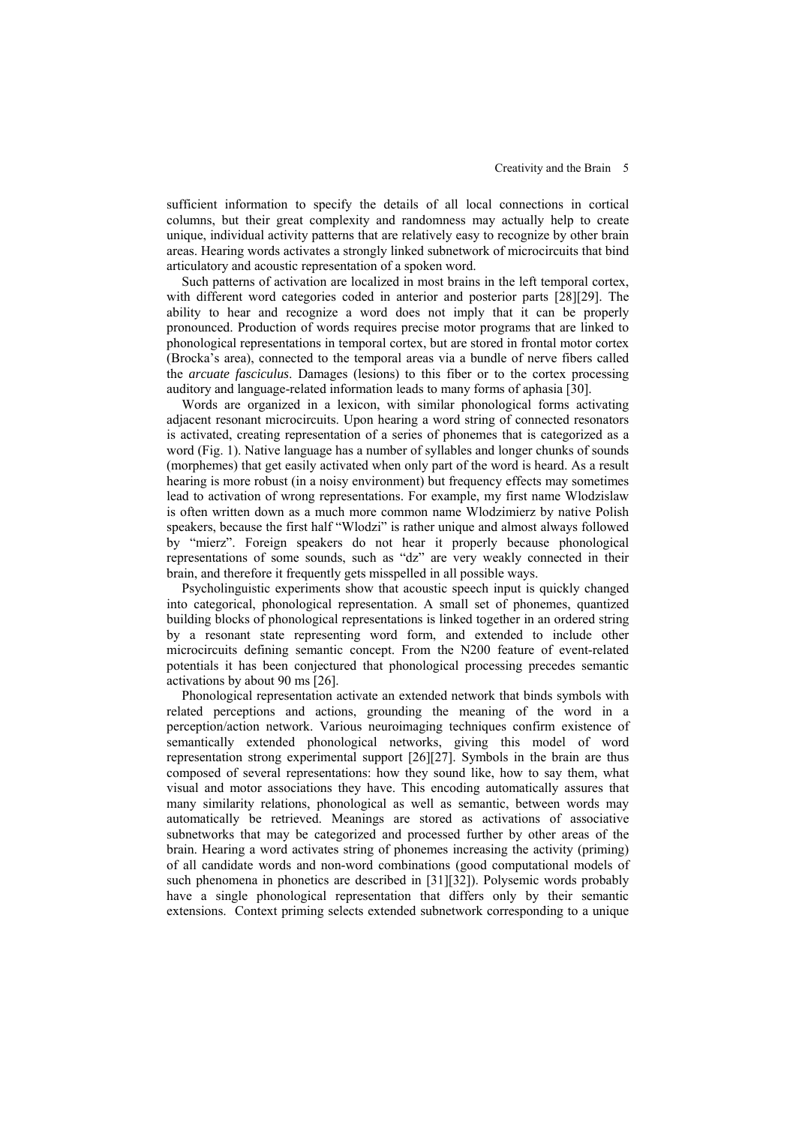sufficient information to specify the details of all local connections in cortical columns, but their great complexity and randomness may actually help to create unique, individual activity patterns that are relatively easy to recognize by other brain areas. Hearing words activates a strongly linked subnetwork of microcircuits that bind articulatory and acoustic representation of a spoken word.

Such patterns of activation are localized in most brains in the left temporal cortex, with different word categories coded in anterior and posterior parts [28][29]. The ability to hear and recognize a word does not imply that it can be properly pronounced. Production of words requires precise motor programs that are linked to phonological representations in temporal cortex, but are stored in frontal motor cortex (Brocka's area), connected to the temporal areas via a bundle of nerve fibers called the *arcuate fasciculus*. Damages (lesions) to this fiber or to the cortex processing auditory and language-related information leads to many forms of aphasia [30].

Words are organized in a lexicon, with similar phonological forms activating adjacent resonant microcircuits. Upon hearing a word string of connected resonators is activated, creating representation of a series of phonemes that is categorized as a word (Fig. 1). Native language has a number of syllables and longer chunks of sounds (morphemes) that get easily activated when only part of the word is heard. As a result hearing is more robust (in a noisy environment) but frequency effects may sometimes lead to activation of wrong representations. For example, my first name Wlodzislaw is often written down as a much more common name Wlodzimierz by native Polish speakers, because the first half "Wlodzi" is rather unique and almost always followed by "mierz". Foreign speakers do not hear it properly because phonological representations of some sounds, such as "dz" are very weakly connected in their brain, and therefore it frequently gets misspelled in all possible ways.

Psycholinguistic experiments show that acoustic speech input is quickly changed into categorical, phonological representation. A small set of phonemes, quantized building blocks of phonological representations is linked together in an ordered string by a resonant state representing word form, and extended to include other microcircuits defining semantic concept. From the N200 feature of event-related potentials it has been conjectured that phonological processing precedes semantic activations by about 90 ms [26].

Phonological representation activate an extended network that binds symbols with related perceptions and actions, grounding the meaning of the word in a perception/action network. Various neuroimaging techniques confirm existence of semantically extended phonological networks, giving this model of word representation strong experimental support [26][27]. Symbols in the brain are thus composed of several representations: how they sound like, how to say them, what visual and motor associations they have. This encoding automatically assures that many similarity relations, phonological as well as semantic, between words may automatically be retrieved. Meanings are stored as activations of associative subnetworks that may be categorized and processed further by other areas of the brain. Hearing a word activates string of phonemes increasing the activity (priming) of all candidate words and non-word combinations (good computational models of such phenomena in phonetics are described in [31][32]). Polysemic words probably have a single phonological representation that differs only by their semantic extensions. Context priming selects extended subnetwork corresponding to a unique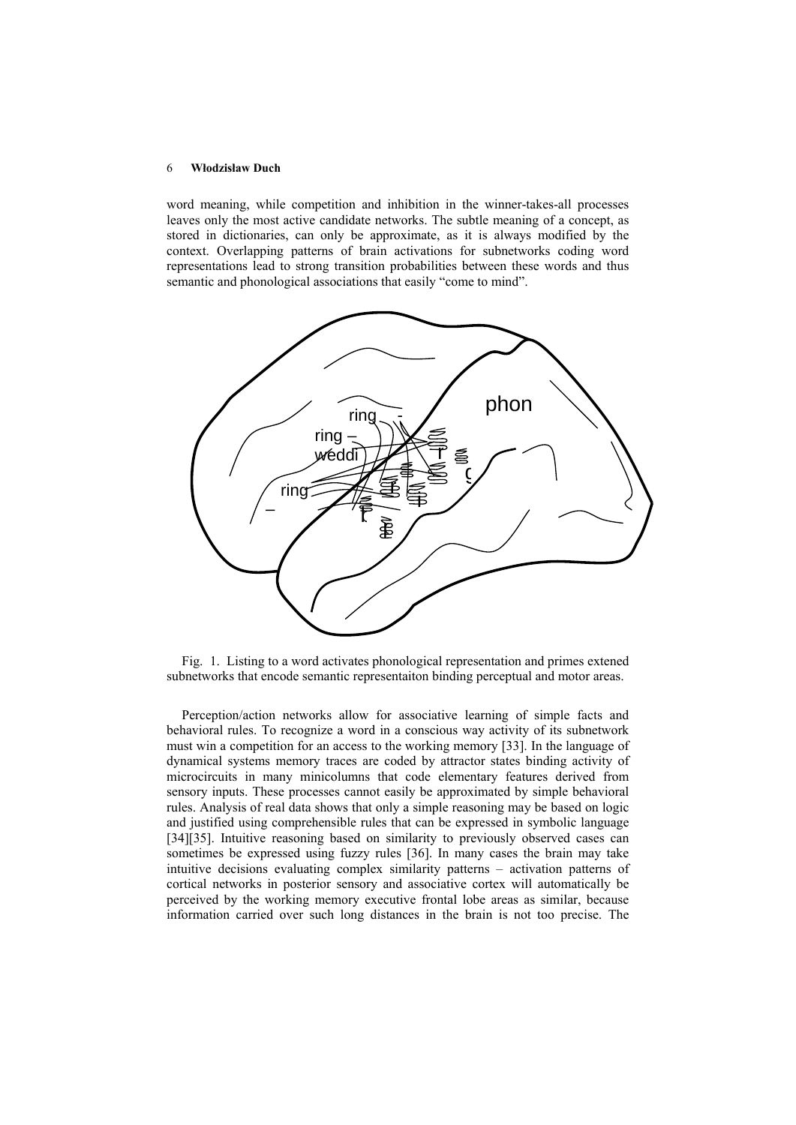word meaning, while competition and inhibition in the winner-takes-all processes leaves only the most active candidate networks. The subtle meaning of a concept, as stored in dictionaries, can only be approximate, as it is always modified by the context. Overlapping patterns of brain activations for subnetworks coding word representations lead to strong transition probabilities between these words and thus semantic and phonological associations that easily "come to mind".



Fig. 1. Listing to a word activates phonological representation and primes extened subnetworks that encode semantic representaiton binding perceptual and motor areas.

Perception/action networks allow for associative learning of simple facts and behavioral rules. To recognize a word in a conscious way activity of its subnetwork must win a competition for an access to the working memory [33]. In the language of dynamical systems memory traces are coded by attractor states binding activity of microcircuits in many minicolumns that code elementary features derived from sensory inputs. These processes cannot easily be approximated by simple behavioral rules. Analysis of real data shows that only a simple reasoning may be based on logic and justified using comprehensible rules that can be expressed in symbolic language [34][35]. Intuitive reasoning based on similarity to previously observed cases can sometimes be expressed using fuzzy rules [36]. In many cases the brain may take intuitive decisions evaluating complex similarity patterns – activation patterns of cortical networks in posterior sensory and associative cortex will automatically be perceived by the working memory executive frontal lobe areas as similar, because information carried over such long distances in the brain is not too precise. The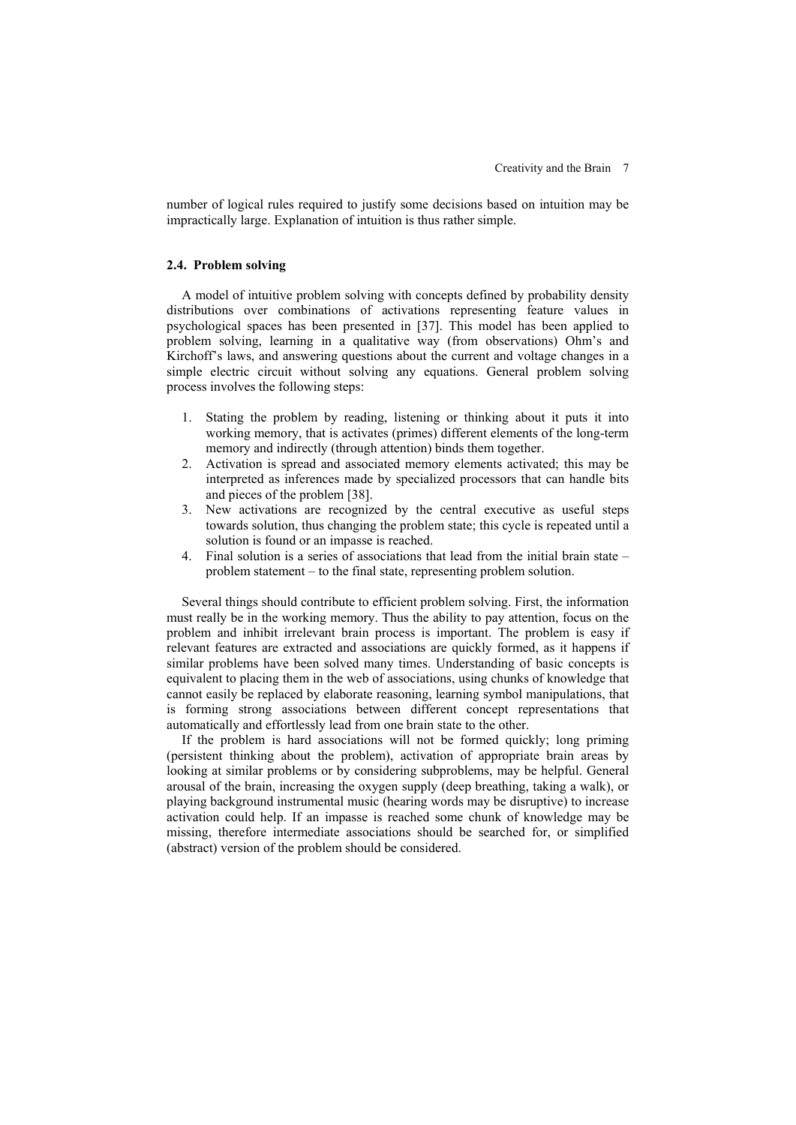number of logical rules required to justify some decisions based on intuition may be impractically large. Explanation of intuition is thus rather simple.

#### **2.4. Problem solving**

A model of intuitive problem solving with concepts defined by probability density distributions over combinations of activations representing feature values in psychological spaces has been presented in [37]. This model has been applied to problem solving, learning in a qualitative way (from observations) Ohm's and Kirchoff's laws, and answering questions about the current and voltage changes in a simple electric circuit without solving any equations. General problem solving process involves the following steps:

- 1. Stating the problem by reading, listening or thinking about it puts it into working memory, that is activates (primes) different elements of the long-term memory and indirectly (through attention) binds them together.
- 2. Activation is spread and associated memory elements activated; this may be interpreted as inferences made by specialized processors that can handle bits and pieces of the problem [38].
- 3. New activations are recognized by the central executive as useful steps towards solution, thus changing the problem state; this cycle is repeated until a solution is found or an impasse is reached.
- 4. Final solution is a series of associations that lead from the initial brain state problem statement – to the final state, representing problem solution.

Several things should contribute to efficient problem solving. First, the information must really be in the working memory. Thus the ability to pay attention, focus on the problem and inhibit irrelevant brain process is important. The problem is easy if relevant features are extracted and associations are quickly formed, as it happens if similar problems have been solved many times. Understanding of basic concepts is equivalent to placing them in the web of associations, using chunks of knowledge that cannot easily be replaced by elaborate reasoning, learning symbol manipulations, that is forming strong associations between different concept representations that automatically and effortlessly lead from one brain state to the other.

If the problem is hard associations will not be formed quickly; long priming (persistent thinking about the problem), activation of appropriate brain areas by looking at similar problems or by considering subproblems, may be helpful. General arousal of the brain, increasing the oxygen supply (deep breathing, taking a walk), or playing background instrumental music (hearing words may be disruptive) to increase activation could help. If an impasse is reached some chunk of knowledge may be missing, therefore intermediate associations should be searched for, or simplified (abstract) version of the problem should be considered.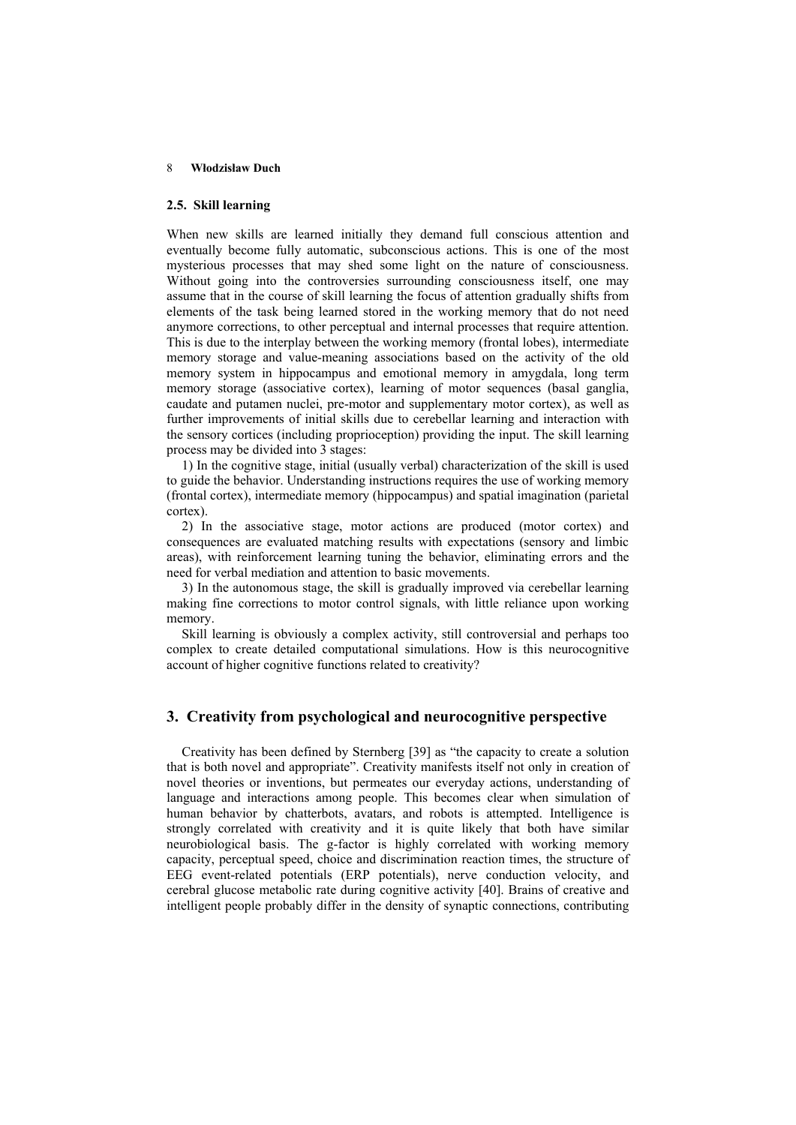#### **2.5. Skill learning**

When new skills are learned initially they demand full conscious attention and eventually become fully automatic, subconscious actions. This is one of the most mysterious processes that may shed some light on the nature of consciousness. Without going into the controversies surrounding consciousness itself, one may assume that in the course of skill learning the focus of attention gradually shifts from elements of the task being learned stored in the working memory that do not need anymore corrections, to other perceptual and internal processes that require attention. This is due to the interplay between the working memory (frontal lobes), intermediate memory storage and value-meaning associations based on the activity of the old memory system in hippocampus and emotional memory in amygdala, long term memory storage (associative cortex), learning of motor sequences (basal ganglia, caudate and putamen nuclei, pre-motor and supplementary motor cortex), as well as further improvements of initial skills due to cerebellar learning and interaction with the sensory cortices (including proprioception) providing the input. The skill learning process may be divided into 3 stages:

1) In the cognitive stage, initial (usually verbal) characterization of the skill is used to guide the behavior. Understanding instructions requires the use of working memory (frontal cortex), intermediate memory (hippocampus) and spatial imagination (parietal cortex).

2) In the associative stage, motor actions are produced (motor cortex) and consequences are evaluated matching results with expectations (sensory and limbic areas), with reinforcement learning tuning the behavior, eliminating errors and the need for verbal mediation and attention to basic movements.

3) In the autonomous stage, the skill is gradually improved via cerebellar learning making fine corrections to motor control signals, with little reliance upon working memory.

Skill learning is obviously a complex activity, still controversial and perhaps too complex to create detailed computational simulations. How is this neurocognitive account of higher cognitive functions related to creativity?

## **3. Creativity from psychological and neurocognitive perspective**

Creativity has been defined by Sternberg [39] as "the capacity to create a solution that is both novel and appropriate". Creativity manifests itself not only in creation of novel theories or inventions, but permeates our everyday actions, understanding of language and interactions among people. This becomes clear when simulation of human behavior by chatterbots, avatars, and robots is attempted. Intelligence is strongly correlated with creativity and it is quite likely that both have similar neurobiological basis. The g-factor is highly correlated with working memory capacity, perceptual speed, choice and discrimination reaction times, the structure of EEG event-related potentials (ERP potentials), nerve conduction velocity, and cerebral glucose metabolic rate during cognitive activity [40]. Brains of creative and intelligent people probably differ in the density of synaptic connections, contributing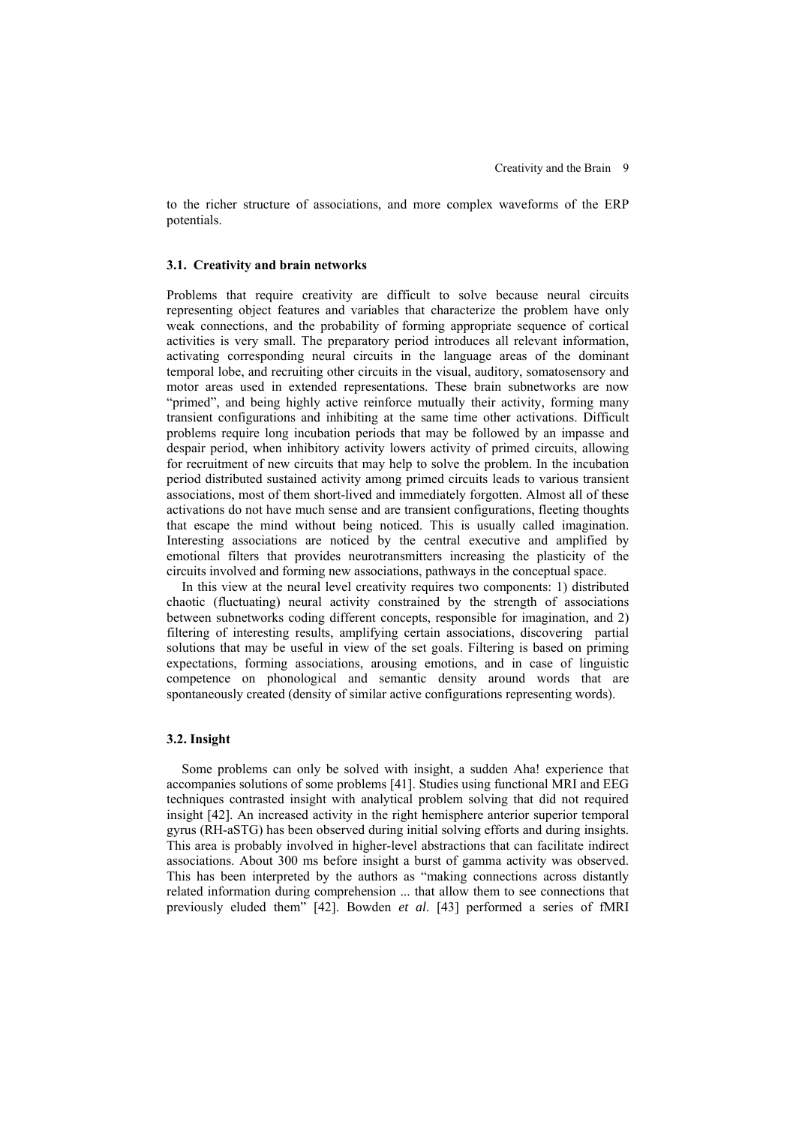to the richer structure of associations, and more complex waveforms of the ERP potentials.

#### **3.1. Creativity and brain networks**

Problems that require creativity are difficult to solve because neural circuits representing object features and variables that characterize the problem have only weak connections, and the probability of forming appropriate sequence of cortical activities is very small. The preparatory period introduces all relevant information, activating corresponding neural circuits in the language areas of the dominant temporal lobe, and recruiting other circuits in the visual, auditory, somatosensory and motor areas used in extended representations. These brain subnetworks are now "primed", and being highly active reinforce mutually their activity, forming many transient configurations and inhibiting at the same time other activations. Difficult problems require long incubation periods that may be followed by an impasse and despair period, when inhibitory activity lowers activity of primed circuits, allowing for recruitment of new circuits that may help to solve the problem. In the incubation period distributed sustained activity among primed circuits leads to various transient associations, most of them short-lived and immediately forgotten. Almost all of these activations do not have much sense and are transient configurations, fleeting thoughts that escape the mind without being noticed. This is usually called imagination. Interesting associations are noticed by the central executive and amplified by emotional filters that provides neurotransmitters increasing the plasticity of the circuits involved and forming new associations, pathways in the conceptual space.

In this view at the neural level creativity requires two components: 1) distributed chaotic (fluctuating) neural activity constrained by the strength of associations between subnetworks coding different concepts, responsible for imagination, and 2) filtering of interesting results, amplifying certain associations, discovering partial solutions that may be useful in view of the set goals. Filtering is based on priming expectations, forming associations, arousing emotions, and in case of linguistic competence on phonological and semantic density around words that are spontaneously created (density of similar active configurations representing words).

### **3.2. Insight**

Some problems can only be solved with insight, a sudden Aha! experience that accompanies solutions of some problems [41]. Studies using functional MRI and EEG techniques contrasted insight with analytical problem solving that did not required insight [42]. An increased activity in the right hemisphere anterior superior temporal gyrus (RH-aSTG) has been observed during initial solving efforts and during insights. This area is probably involved in higher-level abstractions that can facilitate indirect associations. About 300 ms before insight a burst of gamma activity was observed. This has been interpreted by the authors as "making connections across distantly related information during comprehension ... that allow them to see connections that previously eluded them" [42]. Bowden *et al*. [43] performed a series of fMRI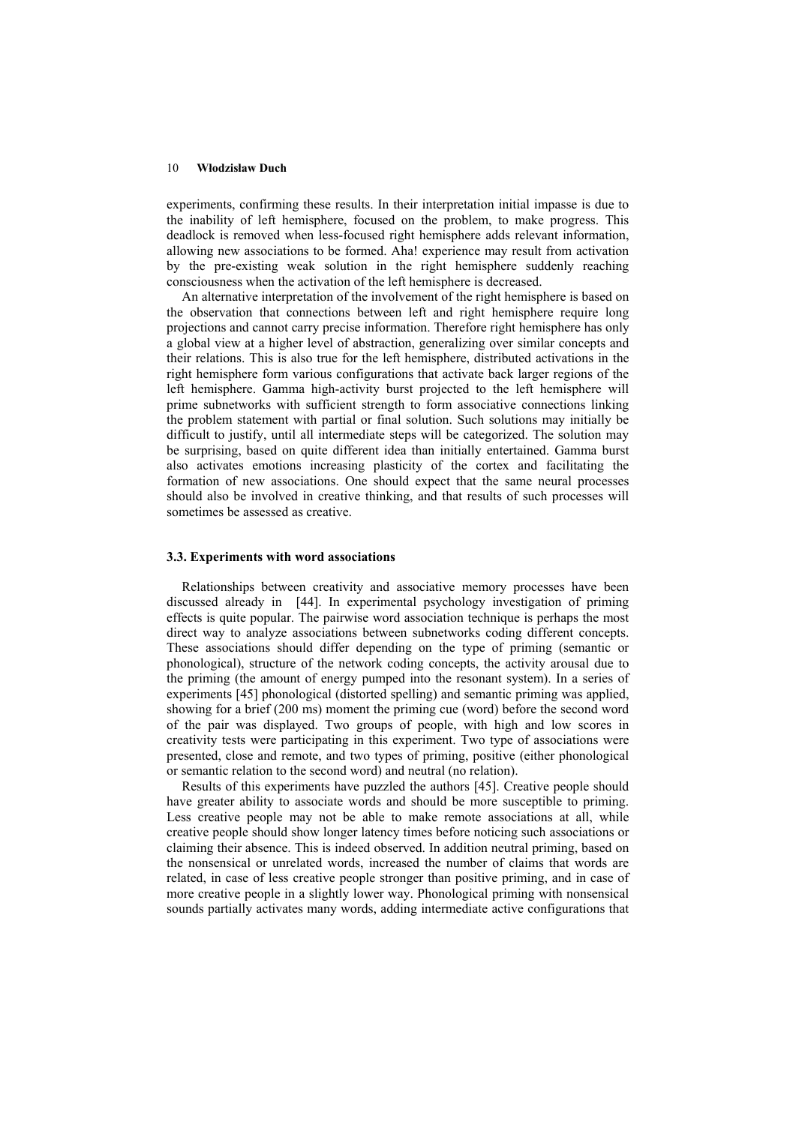experiments, confirming these results. In their interpretation initial impasse is due to the inability of left hemisphere, focused on the problem, to make progress. This deadlock is removed when less-focused right hemisphere adds relevant information, allowing new associations to be formed. Aha! experience may result from activation by the pre-existing weak solution in the right hemisphere suddenly reaching consciousness when the activation of the left hemisphere is decreased.

An alternative interpretation of the involvement of the right hemisphere is based on the observation that connections between left and right hemisphere require long projections and cannot carry precise information. Therefore right hemisphere has only a global view at a higher level of abstraction, generalizing over similar concepts and their relations. This is also true for the left hemisphere, distributed activations in the right hemisphere form various configurations that activate back larger regions of the left hemisphere. Gamma high-activity burst projected to the left hemisphere will prime subnetworks with sufficient strength to form associative connections linking the problem statement with partial or final solution. Such solutions may initially be difficult to justify, until all intermediate steps will be categorized. The solution may be surprising, based on quite different idea than initially entertained. Gamma burst also activates emotions increasing plasticity of the cortex and facilitating the formation of new associations. One should expect that the same neural processes should also be involved in creative thinking, and that results of such processes will sometimes be assessed as creative.

#### **3.3. Experiments with word associations**

Relationships between creativity and associative memory processes have been discussed already in [44]. In experimental psychology investigation of priming effects is quite popular. The pairwise word association technique is perhaps the most direct way to analyze associations between subnetworks coding different concepts. These associations should differ depending on the type of priming (semantic or phonological), structure of the network coding concepts, the activity arousal due to the priming (the amount of energy pumped into the resonant system). In a series of experiments [45] phonological (distorted spelling) and semantic priming was applied, showing for a brief (200 ms) moment the priming cue (word) before the second word of the pair was displayed. Two groups of people, with high and low scores in creativity tests were participating in this experiment. Two type of associations were presented, close and remote, and two types of priming, positive (either phonological or semantic relation to the second word) and neutral (no relation).

Results of this experiments have puzzled the authors [45]. Creative people should have greater ability to associate words and should be more susceptible to priming. Less creative people may not be able to make remote associations at all, while creative people should show longer latency times before noticing such associations or claiming their absence. This is indeed observed. In addition neutral priming, based on the nonsensical or unrelated words, increased the number of claims that words are related, in case of less creative people stronger than positive priming, and in case of more creative people in a slightly lower way. Phonological priming with nonsensical sounds partially activates many words, adding intermediate active configurations that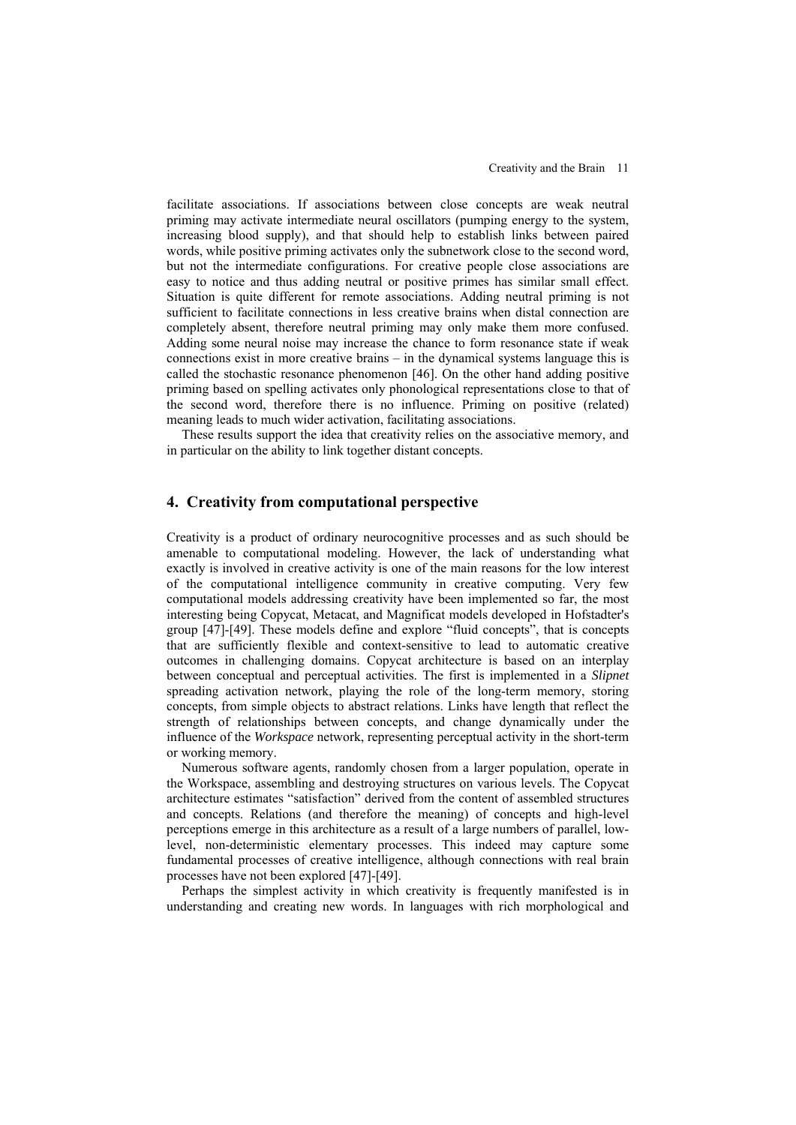facilitate associations. If associations between close concepts are weak neutral priming may activate intermediate neural oscillators (pumping energy to the system, increasing blood supply), and that should help to establish links between paired words, while positive priming activates only the subnetwork close to the second word, but not the intermediate configurations. For creative people close associations are easy to notice and thus adding neutral or positive primes has similar small effect. Situation is quite different for remote associations. Adding neutral priming is not sufficient to facilitate connections in less creative brains when distal connection are completely absent, therefore neutral priming may only make them more confused. Adding some neural noise may increase the chance to form resonance state if weak connections exist in more creative brains – in the dynamical systems language this is called the stochastic resonance phenomenon [46]. On the other hand adding positive priming based on spelling activates only phonological representations close to that of the second word, therefore there is no influence. Priming on positive (related) meaning leads to much wider activation, facilitating associations.

These results support the idea that creativity relies on the associative memory, and in particular on the ability to link together distant concepts.

## **4. Creativity from computational perspective**

Creativity is a product of ordinary neurocognitive processes and as such should be amenable to computational modeling. However, the lack of understanding what exactly is involved in creative activity is one of the main reasons for the low interest of the computational intelligence community in creative computing. Very few computational models addressing creativity have been implemented so far, the most interesting being Copycat, Metacat, and Magnificat models developed in Hofstadter's group [47]-[49]. These models define and explore "fluid concepts", that is concepts that are sufficiently flexible and context-sensitive to lead to automatic creative outcomes in challenging domains. Copycat architecture is based on an interplay between conceptual and perceptual activities. The first is implemented in a *Slipnet* spreading activation network, playing the role of the long-term memory, storing concepts, from simple objects to abstract relations. Links have length that reflect the strength of relationships between concepts, and change dynamically under the influence of the *Workspace* network, representing perceptual activity in the short-term or working memory.

Numerous software agents, randomly chosen from a larger population, operate in the Workspace, assembling and destroying structures on various levels. The Copycat architecture estimates "satisfaction" derived from the content of assembled structures and concepts. Relations (and therefore the meaning) of concepts and high-level perceptions emerge in this architecture as a result of a large numbers of parallel, lowlevel, non-deterministic elementary processes. This indeed may capture some fundamental processes of creative intelligence, although connections with real brain processes have not been explored [47]-[49].

Perhaps the simplest activity in which creativity is frequently manifested is in understanding and creating new words. In languages with rich morphological and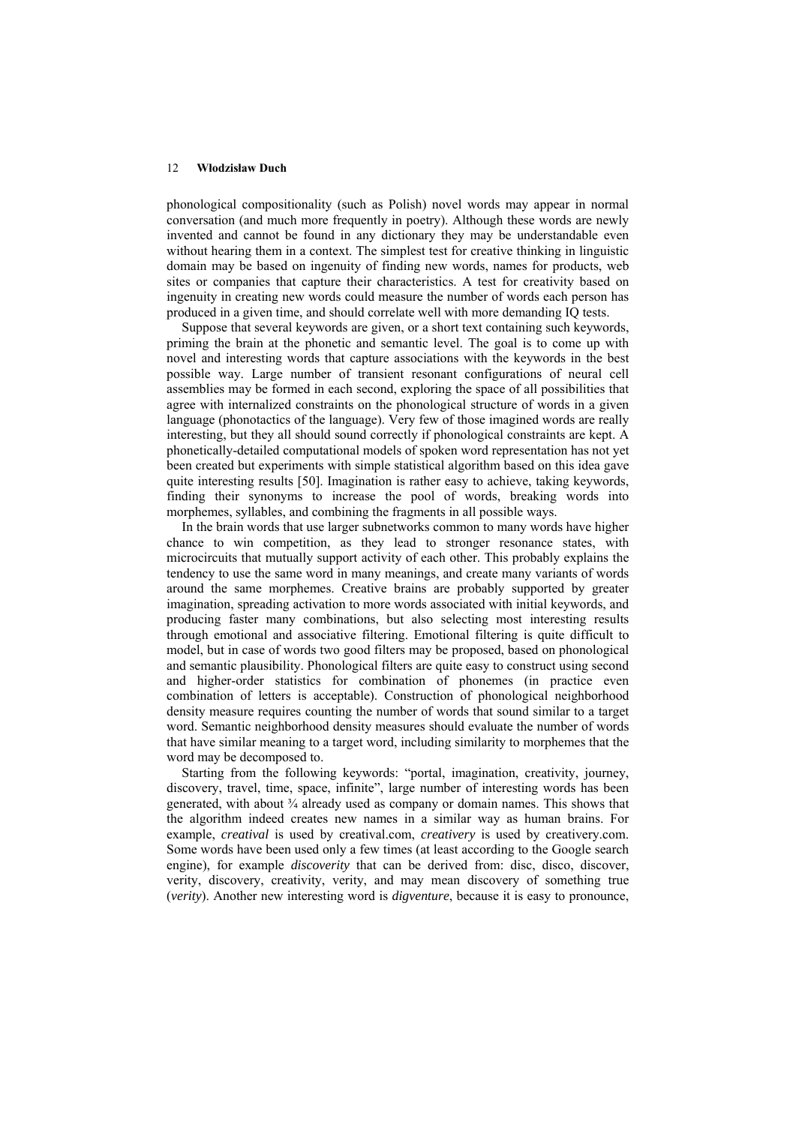phonological compositionality (such as Polish) novel words may appear in normal conversation (and much more frequently in poetry). Although these words are newly invented and cannot be found in any dictionary they may be understandable even without hearing them in a context. The simplest test for creative thinking in linguistic domain may be based on ingenuity of finding new words, names for products, web sites or companies that capture their characteristics. A test for creativity based on ingenuity in creating new words could measure the number of words each person has produced in a given time, and should correlate well with more demanding IQ tests.

Suppose that several keywords are given, or a short text containing such keywords, priming the brain at the phonetic and semantic level. The goal is to come up with novel and interesting words that capture associations with the keywords in the best possible way. Large number of transient resonant configurations of neural cell assemblies may be formed in each second, exploring the space of all possibilities that agree with internalized constraints on the phonological structure of words in a given language (phonotactics of the language). Very few of those imagined words are really interesting, but they all should sound correctly if phonological constraints are kept. A phonetically-detailed computational models of spoken word representation has not yet been created but experiments with simple statistical algorithm based on this idea gave quite interesting results [50]. Imagination is rather easy to achieve, taking keywords, finding their synonyms to increase the pool of words, breaking words into morphemes, syllables, and combining the fragments in all possible ways.

In the brain words that use larger subnetworks common to many words have higher chance to win competition, as they lead to stronger resonance states, with microcircuits that mutually support activity of each other. This probably explains the tendency to use the same word in many meanings, and create many variants of words around the same morphemes. Creative brains are probably supported by greater imagination, spreading activation to more words associated with initial keywords, and producing faster many combinations, but also selecting most interesting results through emotional and associative filtering. Emotional filtering is quite difficult to model, but in case of words two good filters may be proposed, based on phonological and semantic plausibility. Phonological filters are quite easy to construct using second and higher-order statistics for combination of phonemes (in practice even combination of letters is acceptable). Construction of phonological neighborhood density measure requires counting the number of words that sound similar to a target word. Semantic neighborhood density measures should evaluate the number of words that have similar meaning to a target word, including similarity to morphemes that the word may be decomposed to.

Starting from the following keywords: "portal, imagination, creativity, journey, discovery, travel, time, space, infinite", large number of interesting words has been generated, with about  $\frac{3}{4}$  already used as company or domain names. This shows that the algorithm indeed creates new names in a similar way as human brains. For example, *creatival* is used by creatival.com, *creativery* is used by creativery.com. Some words have been used only a few times (at least according to the Google search engine), for example *discoverity* that can be derived from: disc, disco, discover, verity, discovery, creativity, verity, and may mean discovery of something true (*verity*). Another new interesting word is *digventure*, because it is easy to pronounce,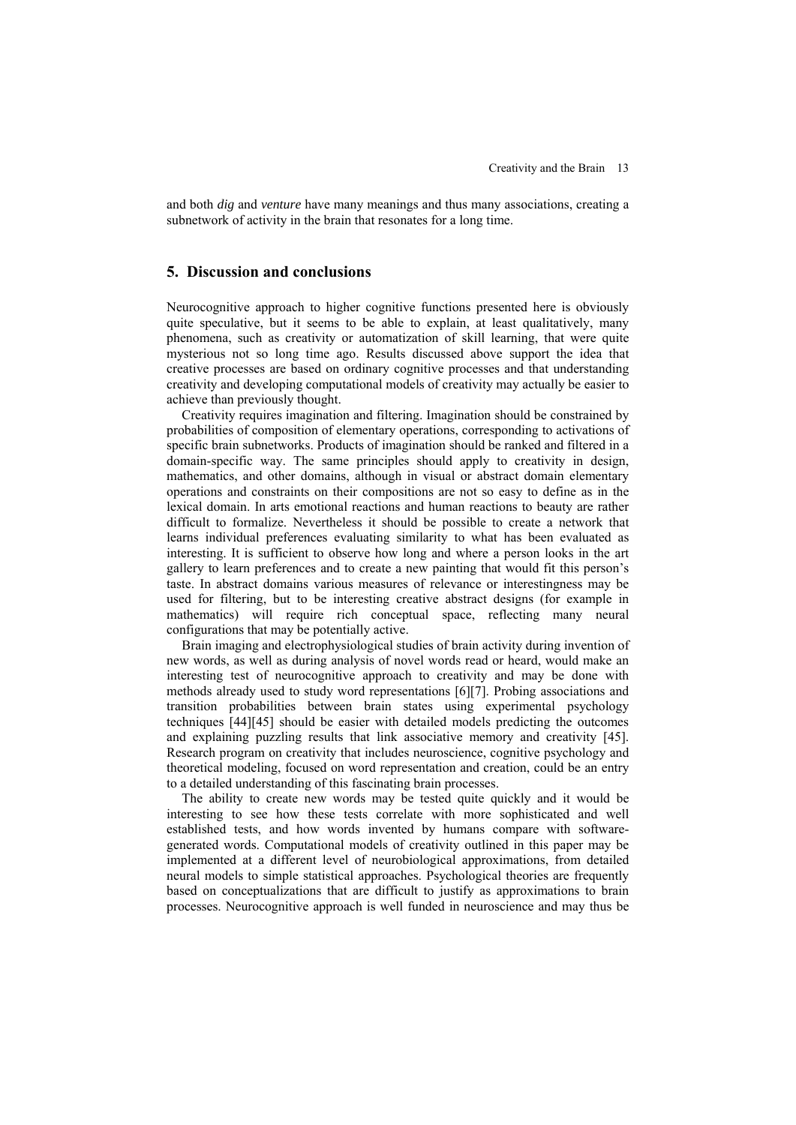and both *dig* and *venture* have many meanings and thus many associations, creating a subnetwork of activity in the brain that resonates for a long time.

## **5. Discussion and conclusions**

Neurocognitive approach to higher cognitive functions presented here is obviously quite speculative, but it seems to be able to explain, at least qualitatively, many phenomena, such as creativity or automatization of skill learning, that were quite mysterious not so long time ago. Results discussed above support the idea that creative processes are based on ordinary cognitive processes and that understanding creativity and developing computational models of creativity may actually be easier to achieve than previously thought.

Creativity requires imagination and filtering. Imagination should be constrained by probabilities of composition of elementary operations, corresponding to activations of specific brain subnetworks. Products of imagination should be ranked and filtered in a domain-specific way. The same principles should apply to creativity in design, mathematics, and other domains, although in visual or abstract domain elementary operations and constraints on their compositions are not so easy to define as in the lexical domain. In arts emotional reactions and human reactions to beauty are rather difficult to formalize. Nevertheless it should be possible to create a network that learns individual preferences evaluating similarity to what has been evaluated as interesting. It is sufficient to observe how long and where a person looks in the art gallery to learn preferences and to create a new painting that would fit this person's taste. In abstract domains various measures of relevance or interestingness may be used for filtering, but to be interesting creative abstract designs (for example in mathematics) will require rich conceptual space, reflecting many neural configurations that may be potentially active.

Brain imaging and electrophysiological studies of brain activity during invention of new words, as well as during analysis of novel words read or heard, would make an interesting test of neurocognitive approach to creativity and may be done with methods already used to study word representations [6][7]. Probing associations and transition probabilities between brain states using experimental psychology techniques [44][45] should be easier with detailed models predicting the outcomes and explaining puzzling results that link associative memory and creativity [45]. Research program on creativity that includes neuroscience, cognitive psychology and theoretical modeling, focused on word representation and creation, could be an entry to a detailed understanding of this fascinating brain processes.

The ability to create new words may be tested quite quickly and it would be interesting to see how these tests correlate with more sophisticated and well established tests, and how words invented by humans compare with softwaregenerated words. Computational models of creativity outlined in this paper may be implemented at a different level of neurobiological approximations, from detailed neural models to simple statistical approaches. Psychological theories are frequently based on conceptualizations that are difficult to justify as approximations to brain processes. Neurocognitive approach is well funded in neuroscience and may thus be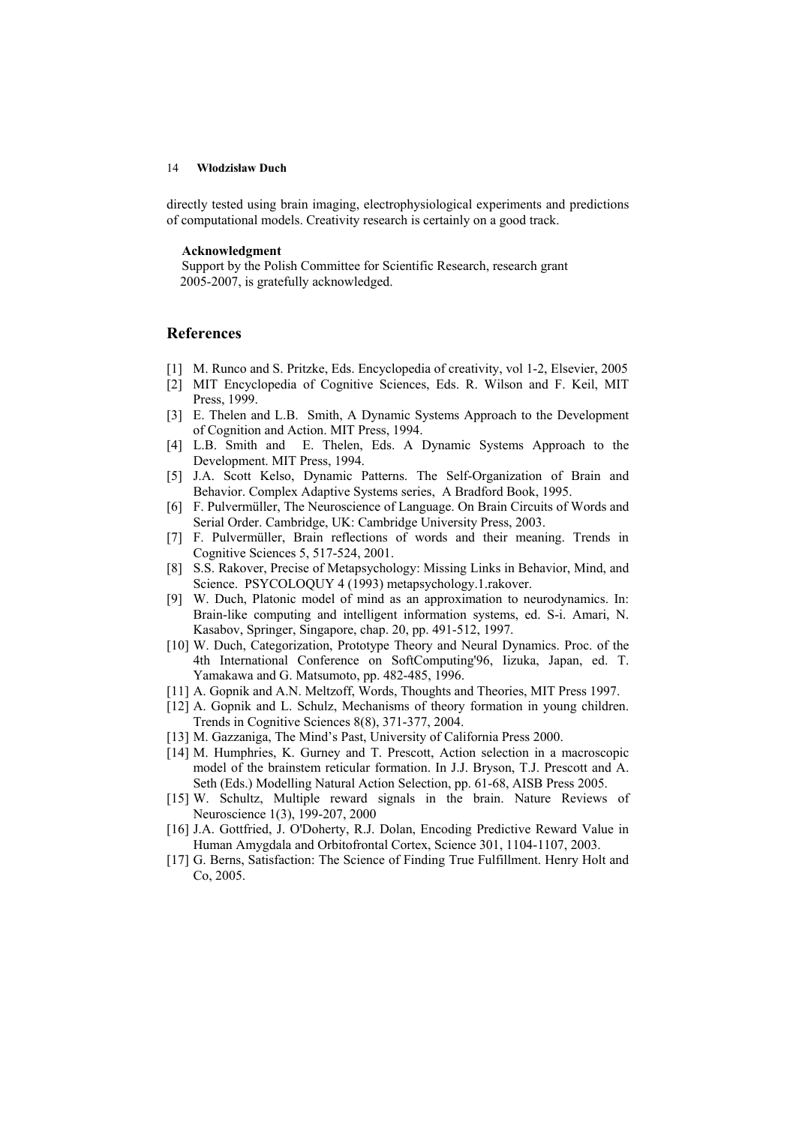directly tested using brain imaging, electrophysiological experiments and predictions of computational models. Creativity research is certainly on a good track.

#### **Acknowledgment**

Support by the Polish Committee for Scientific Research, research grant 2005-2007, is gratefully acknowledged.

### **References**

- [1] M. Runco and S. Pritzke, Eds. Encyclopedia of creativity, vol 1-2, Elsevier, 2005
- [2] MIT Encyclopedia of Cognitive Sciences, Eds. R. Wilson and F. Keil, MIT Press, 1999.
- [3] E. Thelen and L.B. Smith, A Dynamic Systems Approach to the Development of Cognition and Action. MIT Press, 1994.
- [4] L.B. Smith and E. Thelen, Eds. A Dynamic Systems Approach to the Development. MIT Press, 1994.
- [5] J.A. Scott Kelso, Dynamic Patterns. The Self-Organization of Brain and Behavior. Complex Adaptive Systems series, A Bradford Book, 1995.
- [6] F. Pulvermüller, The Neuroscience of Language. On Brain Circuits of Words and Serial Order. Cambridge, UK: Cambridge University Press, 2003.
- [7] F. Pulvermüller, Brain reflections of words and their meaning. Trends in Cognitive Sciences 5, 517-524, 2001.
- [8] S.S. Rakover, Precise of Metapsychology: Missing Links in Behavior, Mind, and Science. PSYCOLOQUY 4 (1993) metapsychology.1.rakover.
- [9] W. Duch, Platonic model of mind as an approximation to neurodynamics. In: Brain-like computing and intelligent information systems, ed. S-i. Amari, N. Kasabov, Springer, Singapore, chap. 20, pp. 491-512, 1997.
- [10] W. Duch, Categorization, Prototype Theory and Neural Dynamics. Proc. of the 4th International Conference on SoftComputing'96, Iizuka, Japan, ed. T. Yamakawa and G. Matsumoto, pp. 482-485, 1996.
- [11] A. Gopnik and A.N. Meltzoff, Words, Thoughts and Theories, MIT Press 1997.
- [12] A. Gopnik and L. Schulz, Mechanisms of theory formation in young children. Trends in Cognitive Sciences 8(8), 371-377, 2004.
- [13] M. Gazzaniga, The Mind's Past, University of California Press 2000.
- [14] M. Humphries, K. Gurney and T. Prescott, Action selection in a macroscopic model of the brainstem reticular formation. In J.J. Bryson, T.J. Prescott and A. Seth (Eds.) Modelling Natural Action Selection, pp. 61-68, AISB Press 2005.
- [15] W. Schultz, Multiple reward signals in the brain. Nature Reviews of Neuroscience 1(3), 199-207, 2000
- [16] J.A. Gottfried, J. O'Doherty, R.J. Dolan, Encoding Predictive Reward Value in Human Amygdala and Orbitofrontal Cortex, Science 301, 1104-1107, 2003.
- [17] G. Berns, Satisfaction: The Science of Finding True Fulfillment. Henry Holt and Co, 2005.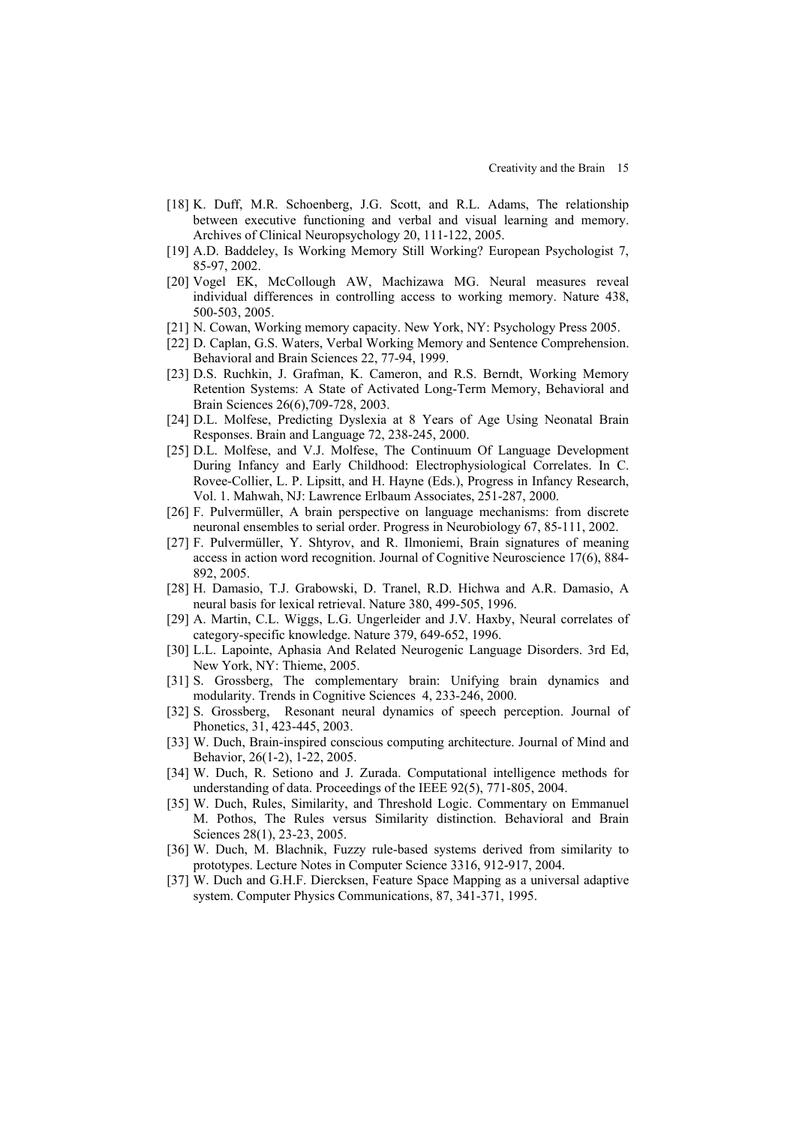- [18] K. Duff, M.R. Schoenberg, J.G. Scott, and R.L. Adams, The relationship between executive functioning and verbal and visual learning and memory. Archives of Clinical Neuropsychology 20, 111-122, 2005.
- [19] A.D. Baddeley, Is Working Memory Still Working? European Psychologist 7, 85-97, 2002.
- [20] Vogel EK, McCollough AW, Machizawa MG. Neural measures reveal individual differences in controlling access to working memory. Nature 438, 500-503, 2005.
- [21] N. Cowan, Working memory capacity. New York, NY: Psychology Press 2005.
- [22] D. Caplan, G.S. Waters, Verbal Working Memory and Sentence Comprehension. Behavioral and Brain Sciences 22, 77-94, 1999.
- [23] D.S. Ruchkin, J. Grafman, K. Cameron, and R.S. Berndt, Working Memory Retention Systems: A State of Activated Long-Term Memory, Behavioral and Brain Sciences 26(6),709-728, 2003.
- [24] D.L. Molfese, Predicting Dyslexia at 8 Years of Age Using Neonatal Brain Responses. Brain and Language 72, 238-245, 2000.
- [25] D.L. Molfese, and V.J. Molfese, The Continuum Of Language Development During Infancy and Early Childhood: Electrophysiological Correlates. In C. Rovee-Collier, L. P. Lipsitt, and H. Hayne (Eds.), Progress in Infancy Research, Vol. 1. Mahwah, NJ: Lawrence Erlbaum Associates, 251-287, 2000.
- [26] F. Pulvermüller, A brain perspective on language mechanisms: from discrete neuronal ensembles to serial order. Progress in Neurobiology 67, 85-111, 2002.
- [27] F. Pulvermüller, Y. Shtyrov, and R. Ilmoniemi, Brain signatures of meaning access in action word recognition. Journal of Cognitive Neuroscience 17(6), 884- 892, 2005.
- [28] H. Damasio, T.J. Grabowski, D. Tranel, R.D. Hichwa and A.R. Damasio, A neural basis for lexical retrieval. Nature 380, 499-505, 1996.
- [29] A. Martin, C.L. Wiggs, L.G. Ungerleider and J.V. Haxby, Neural correlates of category-specific knowledge. Nature 379, 649-652, 1996.
- [30] L.L. Lapointe, Aphasia And Related Neurogenic Language Disorders. 3rd Ed, New York, NY: Thieme, 2005.
- [31] S. Grossberg, The complementary brain: Unifying brain dynamics and modularity. Trends in Cognitive Sciences 4, 233-246, 2000.
- [32] S. Grossberg, Resonant neural dynamics of speech perception. Journal of Phonetics, 31, 423-445, 2003.
- [33] W. Duch, Brain-inspired conscious computing architecture. Journal of Mind and Behavior, 26(1-2), 1-22, 2005.
- [34] W. Duch, R. Setiono and J. Zurada. Computational intelligence methods for understanding of data. Proceedings of the IEEE 92(5), 771-805, 2004.
- [35] W. Duch, Rules, Similarity, and Threshold Logic. Commentary on Emmanuel M. Pothos, The Rules versus Similarity distinction. Behavioral and Brain Sciences 28(1), 23-23, 2005.
- [36] W. Duch, M. Blachnik, Fuzzy rule-based systems derived from similarity to prototypes. Lecture Notes in Computer Science 3316, 912-917, 2004.
- [37] W. Duch and G.H.F. Diercksen, Feature Space Mapping as a universal adaptive system. Computer Physics Communications, 87, 341-371, 1995.